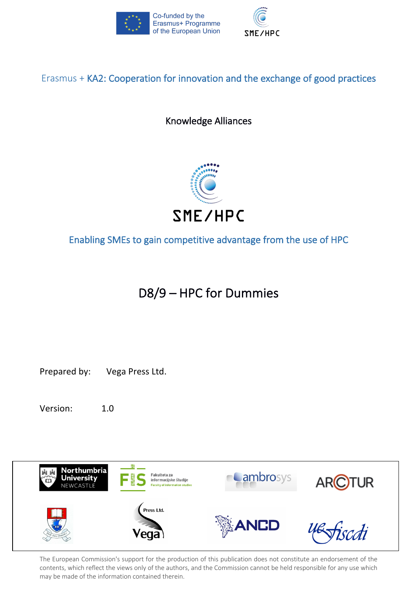



### Erasmus + KA2: Cooperation for innovation and the exchange of good practices

Knowledge Alliances



Enabling SMEs to gain competitive advantage from the use of HPC

# D8/9 – HPC for Dummies

Prepared by: Vega Press Ltd.

Version: 1.0

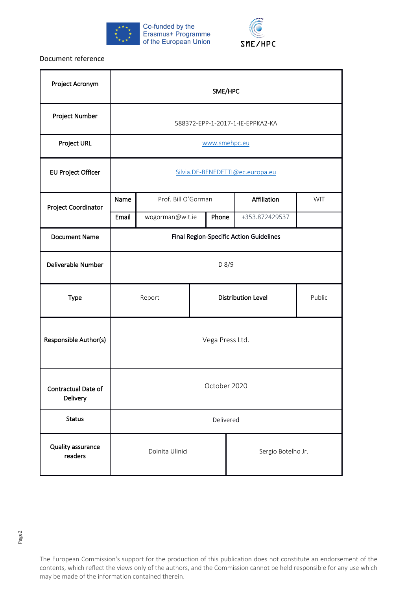



Document reference

| Project Acronym                 | SME/HPC                                        |                     |                           |       |                    |                |  |
|---------------------------------|------------------------------------------------|---------------------|---------------------------|-------|--------------------|----------------|--|
| Project Number                  | 588372-EPP-1-2017-1-IE-EPPKA2-KA               |                     |                           |       |                    |                |  |
| Project URL                     | www.smehpc.eu                                  |                     |                           |       |                    |                |  |
| <b>EU Project Officer</b>       | Silvia.DE-BENEDETTI@ec.europa.eu               |                     |                           |       |                    |                |  |
| Project Coordinator             | Name                                           | Prof. Bill O'Gorman |                           |       | Affiliation        | WIT            |  |
|                                 | Email                                          | wogorman@wit.ie     |                           | Phone |                    | +353.872429537 |  |
| <b>Document Name</b>            | <b>Final Region-Specific Action Guidelines</b> |                     |                           |       |                    |                |  |
| Deliverable Number              | D 8/9                                          |                     |                           |       |                    |                |  |
| Type                            |                                                | Report              | <b>Distribution Level</b> |       | Public             |                |  |
| Responsible Author(s)           | Vega Press Ltd.                                |                     |                           |       |                    |                |  |
| Contractual Date of<br>Delivery | October 2020                                   |                     |                           |       |                    |                |  |
| <b>Status</b>                   | Delivered                                      |                     |                           |       |                    |                |  |
| Quality assurance<br>readers    | Doinita Ulinici                                |                     |                           |       | Sergio Botelho Jr. |                |  |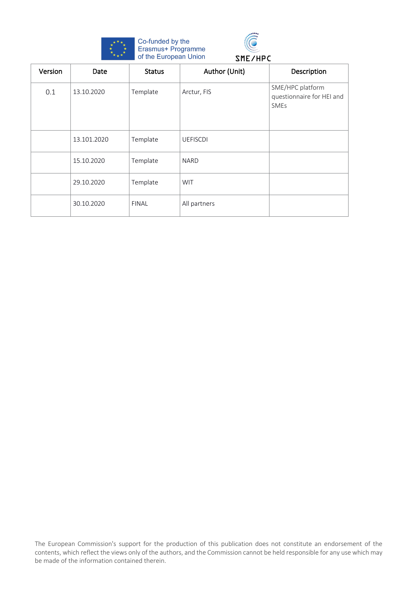



# Version Date Status Author (Unit) Description 0.1 13.10.2020 Template Arctur, FIS SME/HPC platform questionnaire for HEI and SMEs 13.101.2020 | Template | UEFISCDI 15.10.2020 | Template | NARD 29.10.2020 | Template | WIT 30.10.2020 FINAL All partners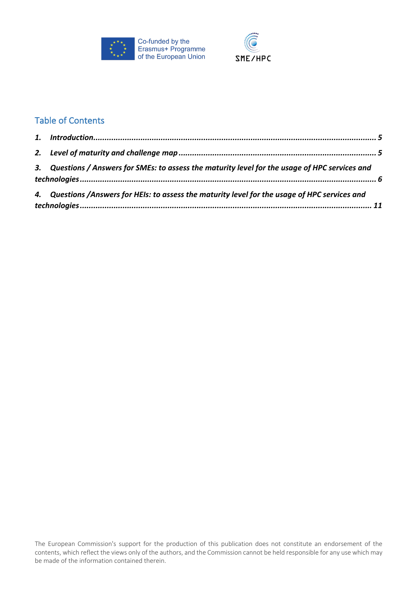



### Table of Contents

| 3. Questions / Answers for SMEs: to assess the maturity level for the usage of HPC services and |  |
|-------------------------------------------------------------------------------------------------|--|
| 4. Questions / Answers for HEIs: to assess the maturity level for the usage of HPC services and |  |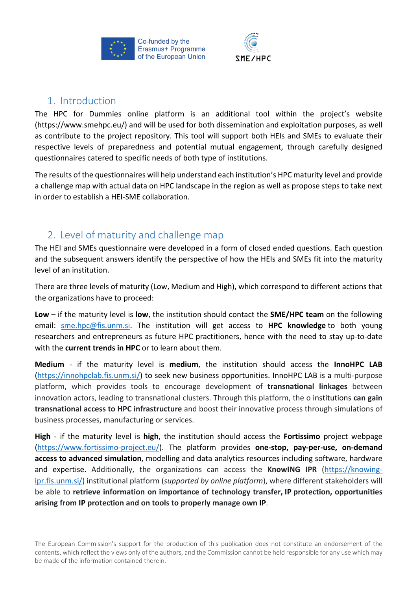



### 1. Introduction

The HPC for Dummies online platform is an additional tool within the project's website (https://www.smehpc.eu/) and will be used for both dissemination and exploitation purposes, as well as contribute to the project repository. This tool will support both HEIs and SMEs to evaluate their respective levels of preparedness and potential mutual engagement, through carefully designed questionnaires catered to specific needs of both type of institutions.

The results of the questionnaires will help understand each institution's HPC maturity level and provide a challenge map with actual data on HPC landscape in the region as well as propose steps to take next in order to establish a HEI-SME collaboration.

### 2. Level of maturity and challenge map

The HEI and SMEs questionnaire were developed in a form of closed ended questions. Each question and the subsequent answers identify the perspective of how the HEIs and SMEs fit into the maturity level of an institution.

There are three levels of maturity (Low, Medium and High), which correspond to different actions that the organizations have to proceed:

**Low** – if the maturity level is **low**, the institution should contact the **SME/HPC team** on the following email: sme.hpc@fis.unm.si. The institution will get access to **HPC knowledge** to both young researchers and entrepreneurs as future HPC practitioners, hence with the need to stay up-to-date with the **current trends in HPC** or to learn about them.

**Medium** - if the maturity level is **medium**, the institution should access the **InnoHPC LAB** (https://innohpclab.fis.unm.si/) to seek new business opportunities. InnoHPC LAB is a multi-purpose platform, which provides tools to encourage development of **transnational linkages** between innovation actors, leading to transnational clusters. Through this platform, the o institutions **can gain transnational access to HPC infrastructure** and boost their innovative process through simulations of business processes, manufacturing or services.

**High** - if the maturity level is **high**, the institution should access the **Fortissimo** project webpage (https://www.fortissimo-project.eu/). The platform provides **one-stop, pay-per-use, on-demand access to advanced simulation**, modelling and data analytics resources including software, hardware and expertise. Additionally, the organizations can access the **KnowING IPR** (https://knowingipr.fis.unm.si/) institutional platform (*supported by online platform*), where different stakeholders will be able to **retrieve information on importance of technology transfer, IP protection, opportunities arising from IP protection and on tools to properly manage own IP**.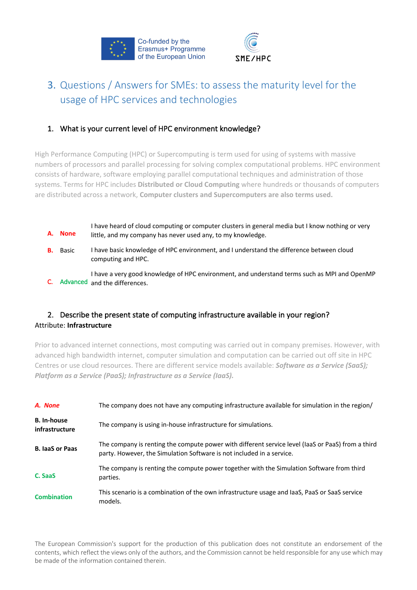



## 3. Questions / Answers for SMEs: to assess the maturity level for the usage of HPC services and technologies

#### 1. What is your current level of HPC environment knowledge?

High Performance Computing (HPC) or Supercomputing is term used for using of systems with massive numbers of processors and parallel processing for solving complex computational problems. HPC environment consists of hardware, software employing parallel computational techniques and administration of those systems. Terms for HPC includes **Distributed or Cloud Computing** where hundreds or thousands of computers are distributed across a network, **Computer clusters and Supercomputers are also terms used.**

| A. None         | I have heard of cloud computing or computer clusters in general media but I know nothing or very<br>little, and my company has never used any, to my knowledge. |
|-----------------|-----------------------------------------------------------------------------------------------------------------------------------------------------------------|
| <b>B.</b> Basic | I have basic knowledge of HPC environment, and I understand the difference between cloud<br>computing and HPC.                                                  |
|                 | I have a very good knowledge of HPC environment, and understand terms such as MPI and OpenMP<br>Advanced and the differences.                                   |

### 2. Describe the present state of computing infrastructure available in your region? Attribute: **Infrastructure**

Prior to advanced internet connections, most computing was carried out in company premises. However, with advanced high bandwidth internet, computer simulation and computation can be carried out off site in HPC Centres or use cloud resources. There are different service models available: *Software as a Service (SaaS); Platform as a Service (PaaS); Infrastructure as a Service (IaaS).*

| A. None                              | The company does not have any computing infrastructure available for simulation in the region/                                                                             |
|--------------------------------------|----------------------------------------------------------------------------------------------------------------------------------------------------------------------------|
| <b>B.</b> In-house<br>infrastructure | The company is using in-house infrastructure for simulations.                                                                                                              |
| <b>B. laaS or Paas</b>               | The company is renting the compute power with different service level (laaS or PaaS) from a third<br>party. However, the Simulation Software is not included in a service. |
| C. SaaS                              | The company is renting the compute power together with the Simulation Software from third<br>parties.                                                                      |
| <b>Combination</b>                   | This scenario is a combination of the own infrastructure usage and laaS, PaaS or SaaS service<br>models.                                                                   |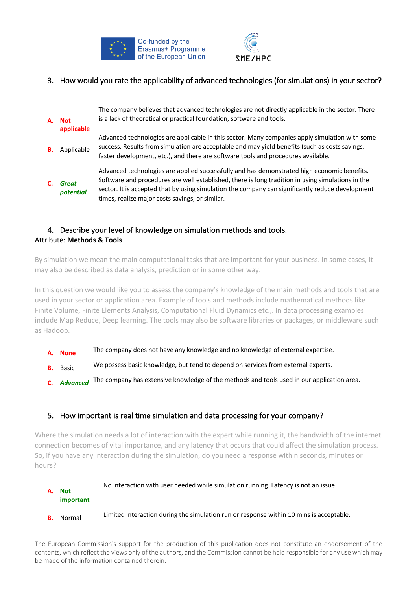



#### 3. How would you rate the applicability of advanced technologies (for simulations) in your sector?

| А. | <b>Not</b><br>applicable  | The company believes that advanced technologies are not directly applicable in the sector. There<br>is a lack of theoretical or practical foundation, software and tools.                                                                                                                                                                               |
|----|---------------------------|---------------------------------------------------------------------------------------------------------------------------------------------------------------------------------------------------------------------------------------------------------------------------------------------------------------------------------------------------------|
| В. | Applicable                | Advanced technologies are applicable in this sector. Many companies apply simulation with some<br>success. Results from simulation are acceptable and may yield benefits (such as costs savings,<br>faster development, etc.), and there are software tools and procedures available.                                                                   |
|    | <b>Great</b><br>potential | Advanced technologies are applied successfully and has demonstrated high economic benefits.<br>Software and procedures are well established, there is long tradition in using simulations in the<br>sector. It is accepted that by using simulation the company can significantly reduce development<br>times, realize major costs savings, or similar. |

#### 4. Describe your level of knowledge on simulation methods and tools. Attribute: **Methods & Tools**

By simulation we mean the main computational tasks that are important for your business. In some cases, it may also be described as data analysis, prediction or in some other way.

In this question we would like you to assess the company's knowledge of the main methods and tools that are used in your sector or application area. Example of tools and methods include mathematical methods like Finite Volume, Finite Elements Analysis, Computational Fluid Dynamics etc.,. In data processing examples include Map Reduce, Deep learning. The tools may also be software libraries or packages, or middleware such as Hadoop.

- **A. None** The company does not have any knowledge and no knowledge of external expertise.
- **B.** Basic We possess basic knowledge, but tend to depend on services from external experts.
- **C.** *Advanced* The company has extensive knowledge of the methods and tools used in our application area.

#### 5. How important is real time simulation and data processing for your company?

Where the simulation needs a lot of interaction with the expert while running it, the bandwidth of the internet connection becomes of vital importance, and any latency that occurs that could affect the simulation process. So, if you have any interaction during the simulation, do you need a response within seconds, minutes or hours?

#### **A. Not important** No interaction with user needed while simulation running. Latency is not an issue

**B.** Normal Limited interaction during the simulation run or response within 10 mins is acceptable.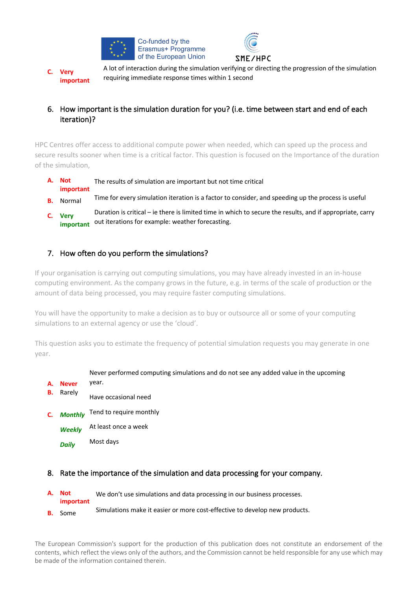



**C. Very important** A lot of interaction during the simulation verifying or directing the progression of the simulation requiring immediate response times within 1 second

### 6. How important is the simulation duration for you? (i.e. time between start and end of each iteration)?

HPC Centres offer access to additional compute power when needed, which can speed up the process and secure results sooner when time is a critical factor. This question is focused on the Importance of the duration of the simulation,

- **A. Not important** The results of simulation are important but not time critical
- **B.** Normal Time for every simulation iteration is a factor to consider, and speeding up the process is useful
- **C. Very important** Duration is critical – ie there is limited time in which to secure the results, and if appropriate, carry out iterations for example: weather forecasting.

#### 7. How often do you perform the simulations?

If your organisation is carrying out computing simulations, you may have already invested in an in-house computing environment. As the company grows in the future, e.g. in terms of the scale of production or the amount of data being processed, you may require faster computing simulations.

You will have the opportunity to make a decision as to buy or outsource all or some of your computing simulations to an external agency or use the 'cloud'.

This question asks you to estimate the frequency of potential simulation requests you may generate in one year.

#### Never performed computing simulations and do not see any added value in the upcoming

- **A. Never** year.
- **B.** Rarely Have occasional need
- **C.** *Monthly* Tend to require monthly
	- *Weekly* At least once a week
		- *Daily* Most days
- 8. Rate the importance of the simulation and data processing for your company.

| A. Not<br>important | We don't use simulations and data processing in our business processes.    |
|---------------------|----------------------------------------------------------------------------|
|                     | Simulations make it easier or more cost-effective to develop new products. |
| <b>B.</b> Some      |                                                                            |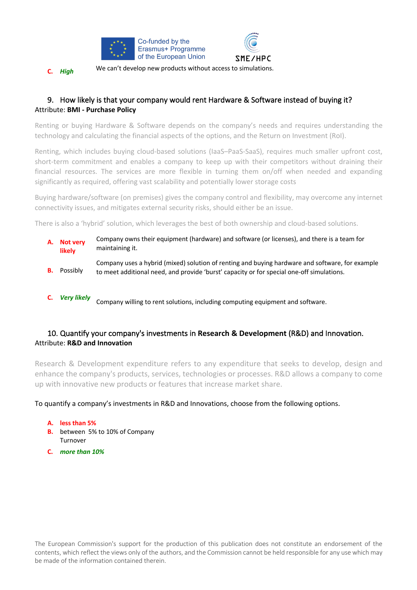

**C.** *High* We can't develop new products without access to simulations.

#### 9. How likely is that your company would rent Hardware & Software instead of buying it? Attribute: **BMI - Purchase Policy**

Renting or buying Hardware & Software depends on the company's needs and requires understanding the technology and calculating the financial aspects of the options, and the Return on Investment (RoI).

Renting, which includes buying cloud-based solutions (IaaS–PaaS-SaaS), requires much smaller upfront cost, short-term commitment and enables a company to keep up with their competitors without draining their financial resources. The services are more flexible in turning them on/off when needed and expanding significantly as required, offering vast scalability and potentially lower storage costs

Buying hardware/software (on premises) gives the company control and flexibility, may overcome any internet connectivity issues, and mitigates external security risks, should either be an issue.

There is also a 'hybrid' solution, which leverages the best of both ownership and cloud-based solutions.

- **A. Not very likely** Company owns their equipment (hardware) and software (or licenses), and there is a team for maintaining it.
- **B.** Possibly Company uses a hybrid (mixed) solution of renting and buying hardware and software, for example to meet additional need, and provide 'burst' capacity or for special one-off simulations.
- **C.** *Very likely* Company willing to rent solutions, including computing equipment and software.

#### 10. Quantify your company's investments in **Research & Development** (R&D) and Innovation. Attribute: **R&D and Innovation**

Research & Development expenditure refers to any expenditure that seeks to develop, design and enhance the company's products, services, technologies or processes. R&D allows a company to come up with innovative new products or features that increase market share.

#### To quantify a company's investments in R&D and Innovations, choose from the following options.

**A. less than 5%**

- **B.** between 5% to 10% of Company Turnover
- **C.** *more than 10%*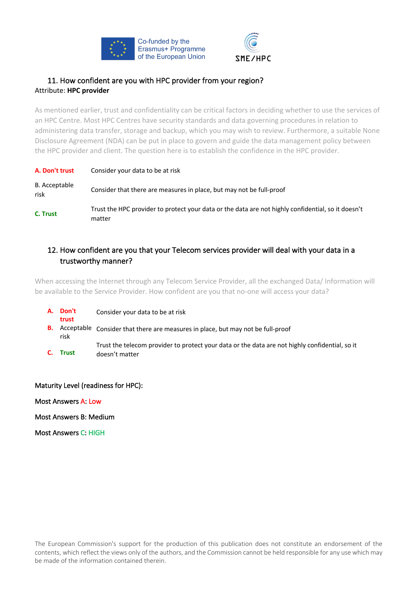



#### 11. How confident are you with HPC provider from your region? Attribute: **HPC provider**

As mentioned earlier, trust and confidentiality can be critical factors in deciding whether to use the services of an HPC Centre. Most HPC Centres have security standards and data governing procedures in relation to administering data transfer, storage and backup, which you may wish to review. Furthermore, a suitable None Disclosure Agreement (NDA) can be put in place to govern and guide the data management policy between the HPC provider and client. The question here is to establish the confidence in the HPC provider.

| A. Don't trust        | Consider your data to be at risk                                                                             |
|-----------------------|--------------------------------------------------------------------------------------------------------------|
| B. Acceptable<br>risk | Consider that there are measures in place, but may not be full-proof                                         |
| C. Trust              | Trust the HPC provider to protect your data or the data are not highly confidential, so it doesn't<br>matter |

#### 12. How confident are you that your Telecom services provider will deal with your data in a trustworthy manner?

When accessing the Internet through any Telecom Service Provider, all the exchanged Data/ Information will be available to the Service Provider. How confident are you that no-one will access your data?

**A. Don't trust** Consider your data to be at risk **B.** Acceptable Consider that there are measures in place, but may not be full-proof risk **C. Trust** Trust the telecom provider to protect your data or the data are not highly confidential, so it doesn't matter

#### Maturity Level (readiness for HPC):

Most Answers A: Low

Most Answers B: Medium

Most Answers C: HIGH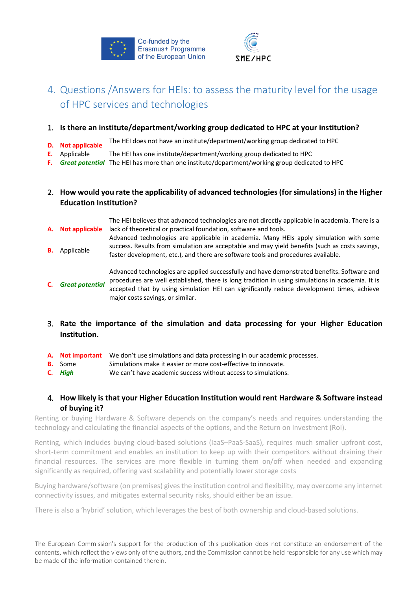



### 4. Questions /Answers for HEIs: to assess the maturity level for the usage of HPC services and technologies

- 1. **Is there an institute/department/working group dedicated to HPC at your institution?**
- **D. Not applicable** The HEI does not have an institute/department/working group dedicated to HPC
- **E.** Applicable The HEI has one institute/department/working group dedicated to HPC
- **F.** *Great potential* The HEI has more than one institute/department/working group dedicated to HPC

#### 2. **How would you rate the applicability of advanced technologies (for simulations) in the Higher Education Institution?**

- **A. Not applicable** The HEI believes that advanced technologies are not directly applicable in academia. There is a lack of theoretical or practical foundation, software and tools.
- **B.** Applicable Advanced technologies are applicable in academia. Many HEIs apply simulation with some success. Results from simulation are acceptable and may yield benefits (such as costs savings, faster development, etc.), and there are software tools and procedures available.

**C.** *Great potential* Advanced technologies are applied successfully and have demonstrated benefits. Software and procedures are well established, there is long tradition in using simulations in academia. It is accepted that by using simulation HEI can significantly reduce development times, achieve major costs savings, or similar.

- 3. **Rate the importance of the simulation and data processing for your Higher Education Institution.**
- **A. Not important** We don't use simulations and data processing in our academic processes.
- **B.** Some Simulations make it easier or more cost-effective to innovate.
- **C.** *High* We can't have academic success without access to simulations.

#### 4. **How likely is that your Higher Education Institution would rent Hardware & Software instead of buying it?**

Renting or buying Hardware & Software depends on the company's needs and requires understanding the technology and calculating the financial aspects of the options, and the Return on Investment (RoI).

Renting, which includes buying cloud-based solutions (IaaS–PaaS-SaaS), requires much smaller upfront cost, short-term commitment and enables an institution to keep up with their competitors without draining their financial resources. The services are more flexible in turning them on/off when needed and expanding significantly as required, offering vast scalability and potentially lower storage costs

Buying hardware/software (on premises) gives the institution control and flexibility, may overcome any internet connectivity issues, and mitigates external security risks, should either be an issue.

There is also a 'hybrid' solution, which leverages the best of both ownership and cloud-based solutions.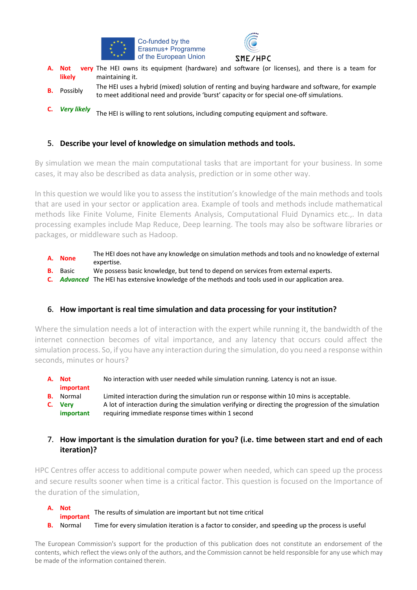



- **A. Not very**  The HEI owns its equipment (hardware) and software (or licenses), and there is a team for **likely** maintaining it.
- **B.** Possibly The HEI uses a hybrid (mixed) solution of renting and buying hardware and software, for example to meet additional need and provide 'burst' capacity or for special one-off simulations.
- **C.** *Very likely* The HEI is willing to rent solutions, including computing equipment and software.

#### 5. **Describe your level of knowledge on simulation methods and tools.**

By simulation we mean the main computational tasks that are important for your business. In some cases, it may also be described as data analysis, prediction or in some other way.

In this question we would like you to assess the institution's knowledge of the main methods and tools that are used in your sector or application area. Example of tools and methods include mathematical methods like Finite Volume, Finite Elements Analysis, Computational Fluid Dynamics etc.,. In data processing examples include Map Reduce, Deep learning. The tools may also be software libraries or packages, or middleware such as Hadoop.

- **A. None** The HEI does not have any knowledge on simulation methods and tools and no knowledge of external expertise.
- **B.** Basic We possess basic knowledge, but tend to depend on services from external experts.
- **C.** *Advanced* The HEI has extensive knowledge of the methods and tools used in our application area.

#### 6. **How important is real time simulation and data processing for your institution?**

Where the simulation needs a lot of interaction with the expert while running it, the bandwidth of the internet connection becomes of vital importance, and any latency that occurs could affect the simulation process. So, if you have any interaction during the simulation, do you need a response within seconds, minutes or hours?

- **A. Not important** No interaction with user needed while simulation running. Latency is not an issue.
- **B.** Normal Limited interaction during the simulation run or response within 10 mins is acceptable.
- **C. Very important** A lot of interaction during the simulation verifying or directing the progression of the simulation requiring immediate response times within 1 second

#### 7. **How important is the simulation duration for you? (i.e. time between start and end of each iteration)?**

HPC Centres offer access to additional compute power when needed, which can speed up the process and secure results sooner when time is a critical factor. This question is focused on the Importance of the duration of the simulation,

- **A. Not important** The results of simulation are important but not time critical
- **B.** Normal Time for every simulation iteration is a factor to consider, and speeding up the process is useful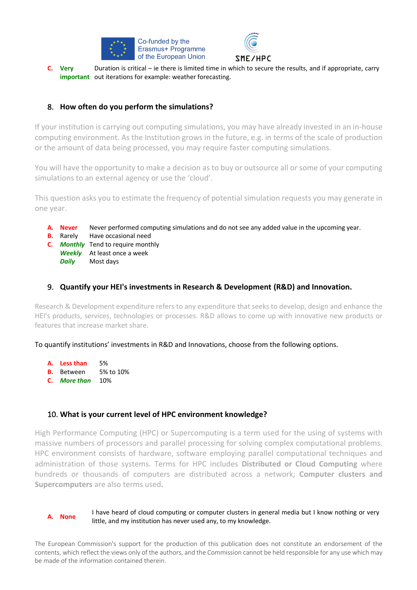



**C. Very important** out iterations for example: weather forecasting. Duration is critical – ie there is limited time in which to secure the results, and if appropriate, carry

#### 8. **How often do you perform the simulations?**

If your institution is carrying out computing simulations, you may have already invested in an in-house computing environment. As the Institution grows in the future, e.g. in terms of the scale of production or the amount of data being processed, you may require faster computing simulations.

You will have the opportunity to make a decision as to buy or outsource all or some of your computing simulations to an external agency or use the 'cloud'.

This question asks you to estimate the frequency of potential simulation requests you may generate in one year.

- **A. Never** Never performed computing simulations and do not see any added value in the upcoming year.
- **B.** Rarely Have occasional need
- **C.** *Monthly* Tend to require monthly *Weekly* At least once a week
	- *Daily* Most days

#### 9. **Quantify your HEI's investments in Research & Development (R&D) and Innovation.**

Research & Development expenditure refers to any expenditure that seeks to develop, design and enhance the HEI's products, services, technologies or processes. R&D allows to come up with innovative new products or features that increase market share.

To quantify institutions' investments in R&D and Innovations, choose from the following options.

- **A. Less than** 5%
- **B.** Between 5% to 10%
- **C.** *More than* 10%

#### 10. **What is your current level of HPC environment knowledge?**

High Performance Computing (HPC) or Supercomputing is a term used for the using of systems with massive numbers of processors and parallel processing for solving complex computational problems. HPC environment consists of hardware, software employing parallel computational techniques and administration of those systems. Terms for HPC includes **Distributed or Cloud Computing** where hundreds or thousands of computers are distributed across a network; **Computer clusters and Supercomputers** are also terms used**.**

**A. None** I have heard of cloud computing or computer clusters in general media but I know nothing or very little, and my institution has never used any, to my knowledge.